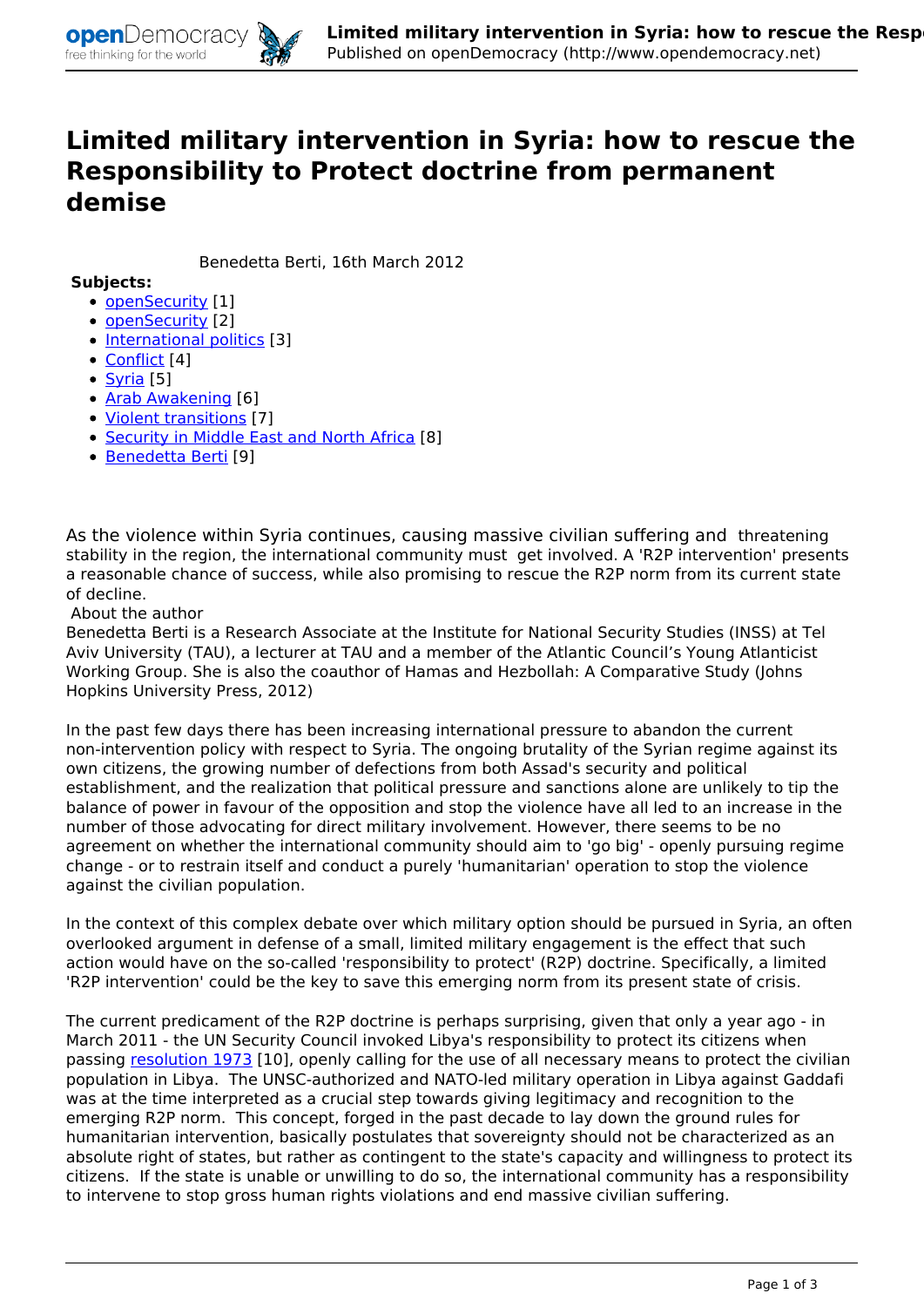

## **Limited military intervention in Syria: how to rescue the Responsibility to Protect doctrine from permanent demise**

 *Benedetta Berti, 16th March 2012* 

## **Subjects:**

- *[openSecurity](http://www.opendemocracy.net/themes/terrorism-theme) [1]*
- *[openSecurity](http://www.opendemocracy.net/opensecurity) [2]*
- *[International politics](http://www.opendemocracy.net/topics/international-politics) [3]*
- *[Conflict](http://www.opendemocracy.net/topics/conflict) [4]*
- *[Syria](http://www.opendemocracy.net/countries/syria) [5]*
- *[Arab Awakening](http://www.opendemocracy.net/freeform-tags/arab-awakening) [6]*
- *[Violent transitions](http://www.opendemocracy.net/freeform-tags/violent-transitions) [7]*
- *[Security in Middle East and North Africa](http://www.opendemocracy.net/opensecurity-regions/security-in-middle-east-and-north-africa) [8]*
- *[Benedetta Berti](http://www.opendemocracy.net/author/benedetta-berti) [9]*

*As the violence within Syria continues, causing massive civilian suffering and threatening stability in the region, the international community must get involved. A 'R2P intervention' presents a reasonable chance of success, while also promising to rescue the R2P norm from its current state of decline.* 

*About the author*

*Benedetta Berti is a Research Associate at the Institute for National Security Studies (INSS) at Tel Aviv University (TAU), a lecturer at TAU and a member of the Atlantic Council's Young Atlanticist Working Group. She is also the coauthor of Hamas and Hezbollah: A Comparative Study (Johns Hopkins University Press, 2012)*

*In the past few days there has been increasing international pressure to abandon the current non-intervention policy with respect to Syria. The ongoing brutality of the Syrian regime against its own citizens, the growing number of defections from both Assad's security and political establishment, and the realization that political pressure and sanctions alone are unlikely to tip the balance of power in favour of the opposition and stop the violence have all led to an increase in the number of those advocating for direct military involvement. However, there seems to be no agreement on whether the international community should aim to 'go big' - openly pursuing regime change - or to restrain itself and conduct a purely 'humanitarian' operation to stop the violence against the civilian population.*

*In the context of this complex debate over which military option should be pursued in Syria, an often overlooked argument in defense of a small, limited military engagement is the effect that such action would have on the so-called 'responsibility to protect' (R2P) doctrine. Specifically, a limited 'R2P intervention' could be the key to save this emerging norm from its present state of crisis.*

*The current predicament of the R2P doctrine is perhaps surprising, given that only a year ago - in March 2011 - the UN Security Council invoked Libya's responsibility to protect its citizens when passing [resolution 1973](http://www.un.org/News/Press/docs/2011/sc10200.doc.htm#Resolution) [10], openly calling for the use of all necessary means to protect the civilian population in Libya. The UNSC-authorized and NATO-led military operation in Libya against Gaddafi was at the time interpreted as a crucial step towards giving legitimacy and recognition to the emerging R2P norm. This concept, forged in the past decade to lay down the ground rules for humanitarian intervention, basically postulates that sovereignty should not be characterized as an absolute right of states, but rather as contingent to the state's capacity and willingness to protect its citizens. If the state is unable or unwilling to do so, the international community has a responsibility to intervene to stop gross human rights violations and end massive civilian suffering.*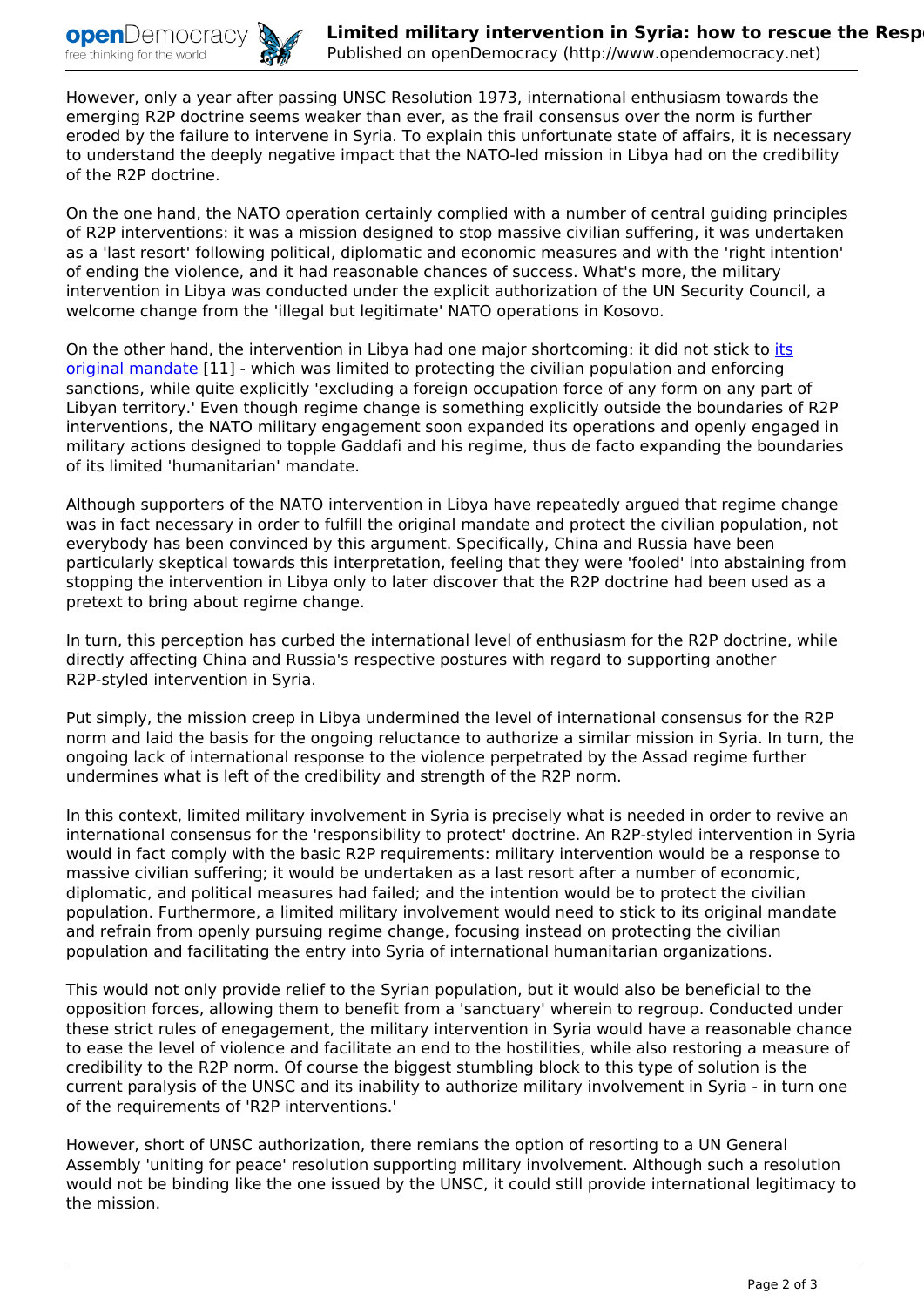*However, only a year after passing UNSC Resolution 1973, international enthusiasm towards the emerging R2P doctrine seems weaker than ever, as the frail consensus over the norm is further eroded by the failure to intervene in Syria. To explain this unfortunate state of affairs, it is necessary to understand the deeply negative impact that the NATO-led mission in Libya had on the credibility of the R2P doctrine.*

*On the one hand, the NATO operation certainly complied with a number of central guiding principles of R2P interventions: it was a mission designed to stop massive civilian suffering, it was undertaken as a 'last resort' following political, diplomatic and economic measures and with the 'right intention' of ending the violence, and it had reasonable chances of success. What's more, the military intervention in Libya was conducted under the explicit authorization of the UN Security Council, a welcome change from the 'illegal but legitimate' NATO operations in Kosovo.*

*On the other hand, the intervention in Libya had one major shortcoming: it did not stick to [its](http://www.nato.int/cps/en/natolive/71679.htm) [original mandate](http://www.nato.int/cps/en/natolive/71679.htm) [11] - which was limited to protecting the civilian population and enforcing sanctions, while quite explicitly 'excluding a foreign occupation force of any form on any part of Libyan territory.' Even though regime change is something explicitly outside the boundaries of R2P interventions, the NATO military engagement soon expanded its operations and openly engaged in military actions designed to topple Gaddafi and his regime, thus de facto expanding the boundaries of its limited 'humanitarian' mandate.*

*Although supporters of the NATO intervention in Libya have repeatedly argued that regime change was in fact necessary in order to fulfill the original mandate and protect the civilian population, not everybody has been convinced by this argument. Specifically, China and Russia have been particularly skeptical towards this interpretation, feeling that they were 'fooled' into abstaining from stopping the intervention in Libya only to later discover that the R2P doctrine had been used as a pretext to bring about regime change.*

*In turn, this perception has curbed the international level of enthusiasm for the R2P doctrine, while directly affecting China and Russia's respective postures with regard to supporting another R2P-styled intervention in Syria.*

*Put simply, the mission creep in Libya undermined the level of international consensus for the R2P norm and laid the basis for the ongoing reluctance to authorize a similar mission in Syria. In turn, the ongoing lack of international response to the violence perpetrated by the Assad regime further undermines what is left of the credibility and strength of the R2P norm.*

*In this context, limited military involvement in Syria is precisely what is needed in order to revive an international consensus for the 'responsibility to protect' doctrine. An R2P-styled intervention in Syria would in fact comply with the basic R2P requirements: military intervention would be a response to massive civilian suffering; it would be undertaken as a last resort after a number of economic, diplomatic, and political measures had failed; and the intention would be to protect the civilian population. Furthermore, a limited military involvement would need to stick to its original mandate and refrain from openly pursuing regime change, focusing instead on protecting the civilian population and facilitating the entry into Syria of international humanitarian organizations.*

*This would not only provide relief to the Syrian population, but it would also be beneficial to the opposition forces, allowing them to benefit from a 'sanctuary' wherein to regroup. Conducted under these strict rules of enegagement, the military intervention in Syria would have a reasonable chance to ease the level of violence and facilitate an end to the hostilities, while also restoring a measure of credibility to the R2P norm. Of course the biggest stumbling block to this type of solution is the current paralysis of the UNSC and its inability to authorize military involvement in Syria - in turn one of the requirements of 'R2P interventions.'*

*However, short of UNSC authorization, there remians the option of resorting to a UN General Assembly 'uniting for peace' resolution supporting military involvement. Although such a resolution would not be binding like the one issued by the UNSC, it could still provide international legitimacy to the mission.*